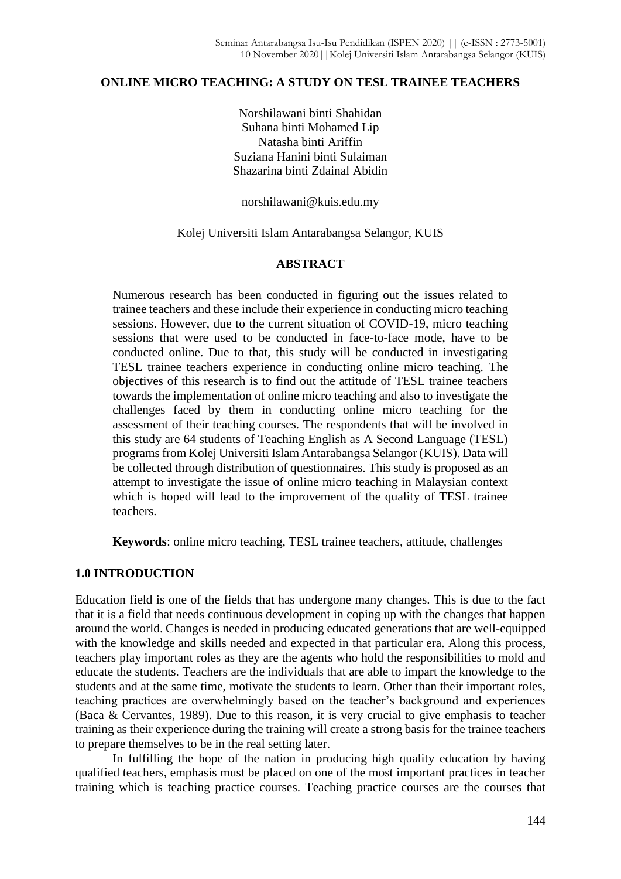# **ONLINE MICRO TEACHING: A STUDY ON TESL TRAINEE TEACHERS**

Norshilawani binti Shahidan Suhana binti Mohamed Lip Natasha binti Ariffin Suziana Hanini binti Sulaiman Shazarina binti Zdainal Abidin

norshilawani@kuis.edu.my

Kolej Universiti Islam Antarabangsa Selangor, KUIS

## **ABSTRACT**

Numerous research has been conducted in figuring out the issues related to trainee teachers and these include their experience in conducting micro teaching sessions. However, due to the current situation of COVID-19, micro teaching sessions that were used to be conducted in face-to-face mode, have to be conducted online. Due to that, this study will be conducted in investigating TESL trainee teachers experience in conducting online micro teaching. The objectives of this research is to find out the attitude of TESL trainee teachers towards the implementation of online micro teaching and also to investigate the challenges faced by them in conducting online micro teaching for the assessment of their teaching courses. The respondents that will be involved in this study are 64 students of Teaching English as A Second Language (TESL) programs from Kolej Universiti Islam Antarabangsa Selangor (KUIS). Data will be collected through distribution of questionnaires. This study is proposed as an attempt to investigate the issue of online micro teaching in Malaysian context which is hoped will lead to the improvement of the quality of TESL trainee teachers.

**Keywords**: online micro teaching, TESL trainee teachers, attitude, challenges

# **1.0 INTRODUCTION**

Education field is one of the fields that has undergone many changes. This is due to the fact that it is a field that needs continuous development in coping up with the changes that happen around the world. Changes is needed in producing educated generations that are well-equipped with the knowledge and skills needed and expected in that particular era. Along this process, teachers play important roles as they are the agents who hold the responsibilities to mold and educate the students. Teachers are the individuals that are able to impart the knowledge to the students and at the same time, motivate the students to learn. Other than their important roles, teaching practices are overwhelmingly based on the teacher's background and experiences (Baca & Cervantes, 1989). Due to this reason, it is very crucial to give emphasis to teacher training as their experience during the training will create a strong basis for the trainee teachers to prepare themselves to be in the real setting later.

In fulfilling the hope of the nation in producing high quality education by having qualified teachers, emphasis must be placed on one of the most important practices in teacher training which is teaching practice courses. Teaching practice courses are the courses that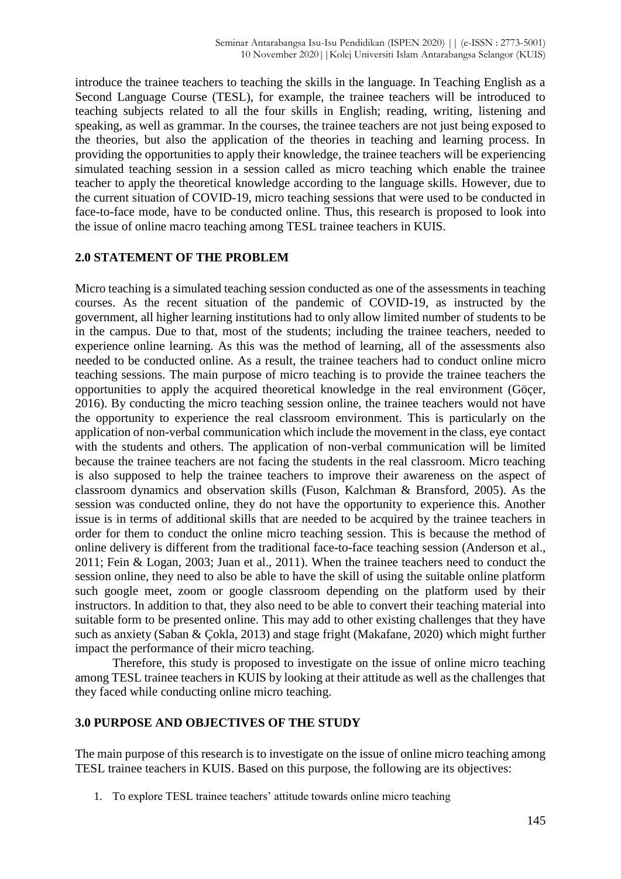introduce the trainee teachers to teaching the skills in the language. In Teaching English as a Second Language Course (TESL), for example, the trainee teachers will be introduced to teaching subjects related to all the four skills in English; reading, writing, listening and speaking, as well as grammar. In the courses, the trainee teachers are not just being exposed to the theories, but also the application of the theories in teaching and learning process. In providing the opportunities to apply their knowledge, the trainee teachers will be experiencing simulated teaching session in a session called as micro teaching which enable the trainee teacher to apply the theoretical knowledge according to the language skills. However, due to the current situation of COVID-19, micro teaching sessions that were used to be conducted in face-to-face mode, have to be conducted online. Thus, this research is proposed to look into the issue of online macro teaching among TESL trainee teachers in KUIS.

# **2.0 STATEMENT OF THE PROBLEM**

Micro teaching is a simulated teaching session conducted as one of the assessments in teaching courses. As the recent situation of the pandemic of COVID-19, as instructed by the government, all higher learning institutions had to only allow limited number of students to be in the campus. Due to that, most of the students; including the trainee teachers, needed to experience online learning. As this was the method of learning, all of the assessments also needed to be conducted online. As a result, the trainee teachers had to conduct online micro teaching sessions. The main purpose of micro teaching is to provide the trainee teachers the opportunities to apply the acquired theoretical knowledge in the real environment (Göçer, 2016). By conducting the micro teaching session online, the trainee teachers would not have the opportunity to experience the real classroom environment. This is particularly on the application of non-verbal communication which include the movement in the class, eye contact with the students and others. The application of non-verbal communication will be limited because the trainee teachers are not facing the students in the real classroom. Micro teaching is also supposed to help the trainee teachers to improve their awareness on the aspect of classroom dynamics and observation skills (Fuson, Kalchman & Bransford, 2005). As the session was conducted online, they do not have the opportunity to experience this. Another issue is in terms of additional skills that are needed to be acquired by the trainee teachers in order for them to conduct the online micro teaching session. This is because the method of online delivery is different from the traditional face-to-face teaching session (Anderson et al., 2011; Fein & Logan, 2003; Juan et al., 2011). When the trainee teachers need to conduct the session online, they need to also be able to have the skill of using the suitable online platform such google meet, zoom or google classroom depending on the platform used by their instructors. In addition to that, they also need to be able to convert their teaching material into suitable form to be presented online. This may add to other existing challenges that they have such as anxiety (Saban & Çokla, 2013) and stage fright (Makafane, 2020) which might further impact the performance of their micro teaching.

Therefore, this study is proposed to investigate on the issue of online micro teaching among TESL trainee teachers in KUIS by looking at their attitude as well as the challenges that they faced while conducting online micro teaching.

## **3.0 PURPOSE AND OBJECTIVES OF THE STUDY**

The main purpose of this research is to investigate on the issue of online micro teaching among TESL trainee teachers in KUIS. Based on this purpose, the following are its objectives:

1. To explore TESL trainee teachers' attitude towards online micro teaching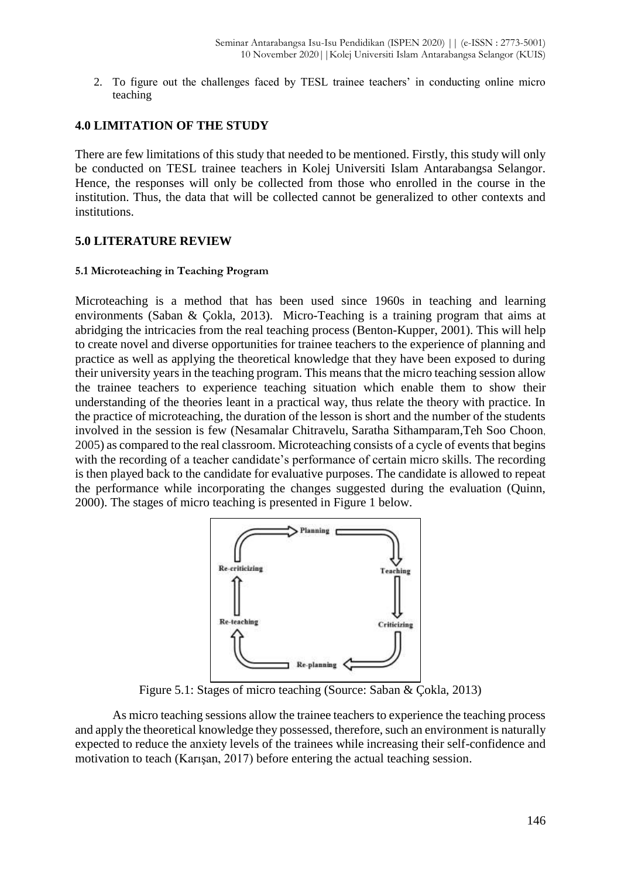2. To figure out the challenges faced by TESL trainee teachers' in conducting online micro teaching

# **4.0 LIMITATION OF THE STUDY**

There are few limitations of this study that needed to be mentioned. Firstly, this study will only be conducted on TESL trainee teachers in Kolej Universiti Islam Antarabangsa Selangor. Hence, the responses will only be collected from those who enrolled in the course in the institution. Thus, the data that will be collected cannot be generalized to other contexts and institutions.

# **5.0 LITERATURE REVIEW**

#### **5.1 Microteaching in Teaching Program**

Microteaching is a method that has been used since 1960s in teaching and learning environments (Saban & Çokla, 2013). Micro-Teaching is a training program that aims at abridging the intricacies from the real teaching process (Benton-Kupper, 2001). This will help to create novel and diverse opportunities for trainee teachers to the experience of planning and practice as well as applying the theoretical knowledge that they have been exposed to during their university years in the teaching program. This means that the micro teaching session allow the trainee teachers to experience teaching situation which enable them to show their understanding of the theories leant in a practical way, thus relate the theory with practice. In the practice of microteaching, the duration of the lesson is short and the number of the students involved in the session is few [\(Nesamalar Chitravelu,](https://www.goodreads.com/author/show/7033831.Nesamalar_Chitravelu) [Saratha Sithamparam](https://www.goodreads.com/author/show/7033832.Saratha_Sithamparam)[,Teh Soo Choon](https://www.goodreads.com/author/show/7033833.Teh_Soo_Choon), 2005) as compared to the real classroom. Microteaching consists of a cycle of events that begins with the recording of a teacher candidate's performance of certain micro skills. The recording is then played back to the candidate for evaluative purposes. The candidate is allowed to repeat the performance while incorporating the changes suggested during the evaluation (Quinn, 2000). The stages of micro teaching is presented in Figure 1 below.



Figure 5.1: Stages of micro teaching (Source: Saban & Çokla, 2013)

As micro teaching sessions allow the trainee teachers to experience the teaching process and apply the theoretical knowledge they possessed, therefore, such an environment is naturally expected to reduce the anxiety levels of the trainees while increasing their self-confidence and motivation to teach (Karışan, 2017) before entering the actual teaching session.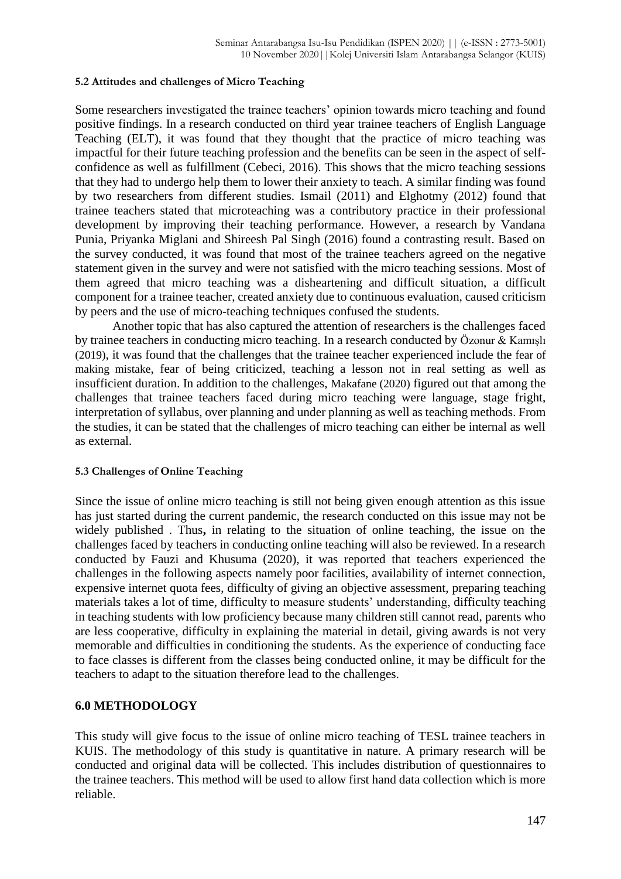#### **5.2 Attitudes and challenges of Micro Teaching**

Some researchers investigated the trainee teachers' opinion towards micro teaching and found positive findings. In a research conducted on third year trainee teachers of English Language Teaching (ELT), it was found that they thought that the practice of micro teaching was impactful for their future teaching profession and the benefits can be seen in the aspect of selfconfidence as well as fulfillment (Cebeci, 2016). This shows that the micro teaching sessions that they had to undergo help them to lower their anxiety to teach. A similar finding was found by two researchers from different studies. Ismail (2011) and Elghotmy (2012) found that trainee teachers stated that microteaching was a contributory practice in their professional development by improving their teaching performance. However, a research by Vandana Punia, Priyanka Miglani and Shireesh Pal Singh (2016) found a contrasting result. Based on the survey conducted, it was found that most of the trainee teachers agreed on the negative statement given in the survey and were not satisfied with the micro teaching sessions. Most of them agreed that micro teaching was a disheartening and difficult situation, a difficult component for a trainee teacher, created anxiety due to continuous evaluation, caused criticism by peers and the use of micro-teaching techniques confused the students.

Another topic that has also captured the attention of researchers is the challenges faced by trainee teachers in conducting micro teaching. In a research conducted by Özonur & Kamışlı (2019), it was found that the challenges that the trainee teacher experienced include the fear of making mistake, fear of being criticized, teaching a lesson not in real setting as well as insufficient duration. In addition to the challenges, Makafane (2020) figured out that among the challenges that trainee teachers faced during micro teaching were language, stage fright, interpretation of syllabus, over planning and under planning as well as teaching methods. From the studies, it can be stated that the challenges of micro teaching can either be internal as well as external.

#### **5.3 Challenges of Online Teaching**

Since the issue of online micro teaching is still not being given enough attention as this issue has just started during the current pandemic, the research conducted on this issue may not be widely published . Thus**,** in relating to the situation of online teaching, the issue on the challenges faced by teachers in conducting online teaching will also be reviewed. In a research conducted by Fauzi and Khusuma (2020), it was reported that teachers experienced the challenges in the following aspects namely poor facilities, availability of internet connection, expensive internet quota fees, difficulty of giving an objective assessment, preparing teaching materials takes a lot of time, difficulty to measure students' understanding, difficulty teaching in teaching students with low proficiency because many children still cannot read, parents who are less cooperative, difficulty in explaining the material in detail, giving awards is not very memorable and difficulties in conditioning the students. As the experience of conducting face to face classes is different from the classes being conducted online, it may be difficult for the teachers to adapt to the situation therefore lead to the challenges.

## **6.0 METHODOLOGY**

This study will give focus to the issue of online micro teaching of TESL trainee teachers in KUIS. The methodology of this study is quantitative in nature. A primary research will be conducted and original data will be collected. This includes distribution of questionnaires to the trainee teachers. This method will be used to allow first hand data collection which is more reliable.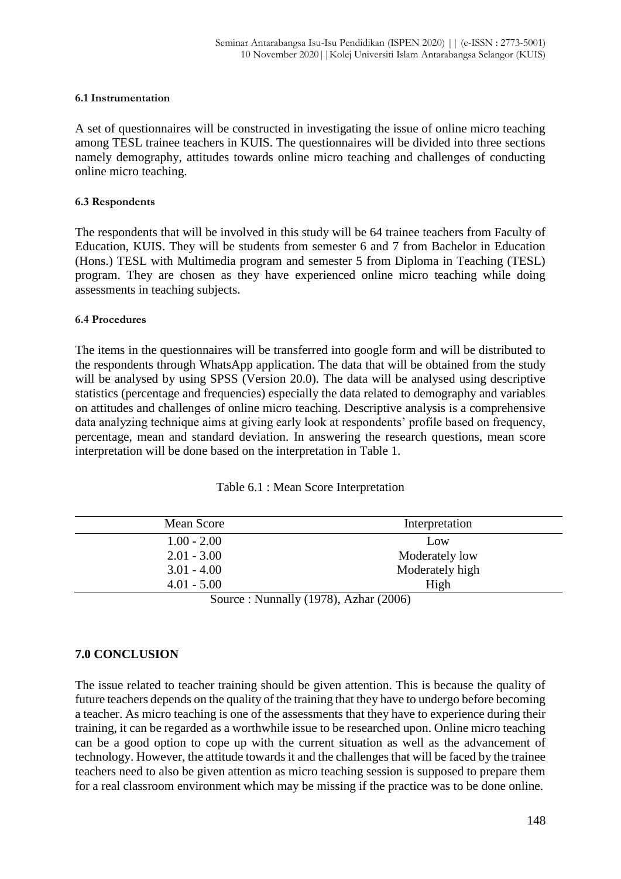#### **6.1 Instrumentation**

A set of questionnaires will be constructed in investigating the issue of online micro teaching among TESL trainee teachers in KUIS. The questionnaires will be divided into three sections namely demography, attitudes towards online micro teaching and challenges of conducting online micro teaching.

#### **6.3 Respondents**

The respondents that will be involved in this study will be 64 trainee teachers from Faculty of Education, KUIS. They will be students from semester 6 and 7 from Bachelor in Education (Hons.) TESL with Multimedia program and semester 5 from Diploma in Teaching (TESL) program. They are chosen as they have experienced online micro teaching while doing assessments in teaching subjects.

#### **6.4 Procedures**

The items in the questionnaires will be transferred into google form and will be distributed to the respondents through WhatsApp application. The data that will be obtained from the study will be analysed by using SPSS (Version 20.0). The data will be analysed using descriptive statistics (percentage and frequencies) especially the data related to demography and variables on attitudes and challenges of online micro teaching. Descriptive analysis is a comprehensive data analyzing technique aims at giving early look at respondents' profile based on frequency, percentage, mean and standard deviation. In answering the research questions, mean score interpretation will be done based on the interpretation in Table 1.

| Table 6.1 : Mean Score Interpretation |  |  |  |  |
|---------------------------------------|--|--|--|--|
|---------------------------------------|--|--|--|--|

| Mean Score    | Interpretation                                   |  |  |  |
|---------------|--------------------------------------------------|--|--|--|
| $1.00 - 2.00$ | Low                                              |  |  |  |
| $2.01 - 3.00$ | Moderately low                                   |  |  |  |
| $3.01 - 4.00$ | Moderately high                                  |  |  |  |
| $4.01 - 5.00$ | High                                             |  |  |  |
| $\sim$        | 11 $(10.70)$ $\uparrow$ 1<br>(0.005)<br><b>T</b> |  |  |  |

Source : Nunnally (1978), Azhar (2006)

## **7.0 CONCLUSION**

The issue related to teacher training should be given attention. This is because the quality of future teachers depends on the quality of the training that they have to undergo before becoming a teacher. As micro teaching is one of the assessments that they have to experience during their training, it can be regarded as a worthwhile issue to be researched upon. Online micro teaching can be a good option to cope up with the current situation as well as the advancement of technology. However, the attitude towards it and the challenges that will be faced by the trainee teachers need to also be given attention as micro teaching session is supposed to prepare them for a real classroom environment which may be missing if the practice was to be done online.